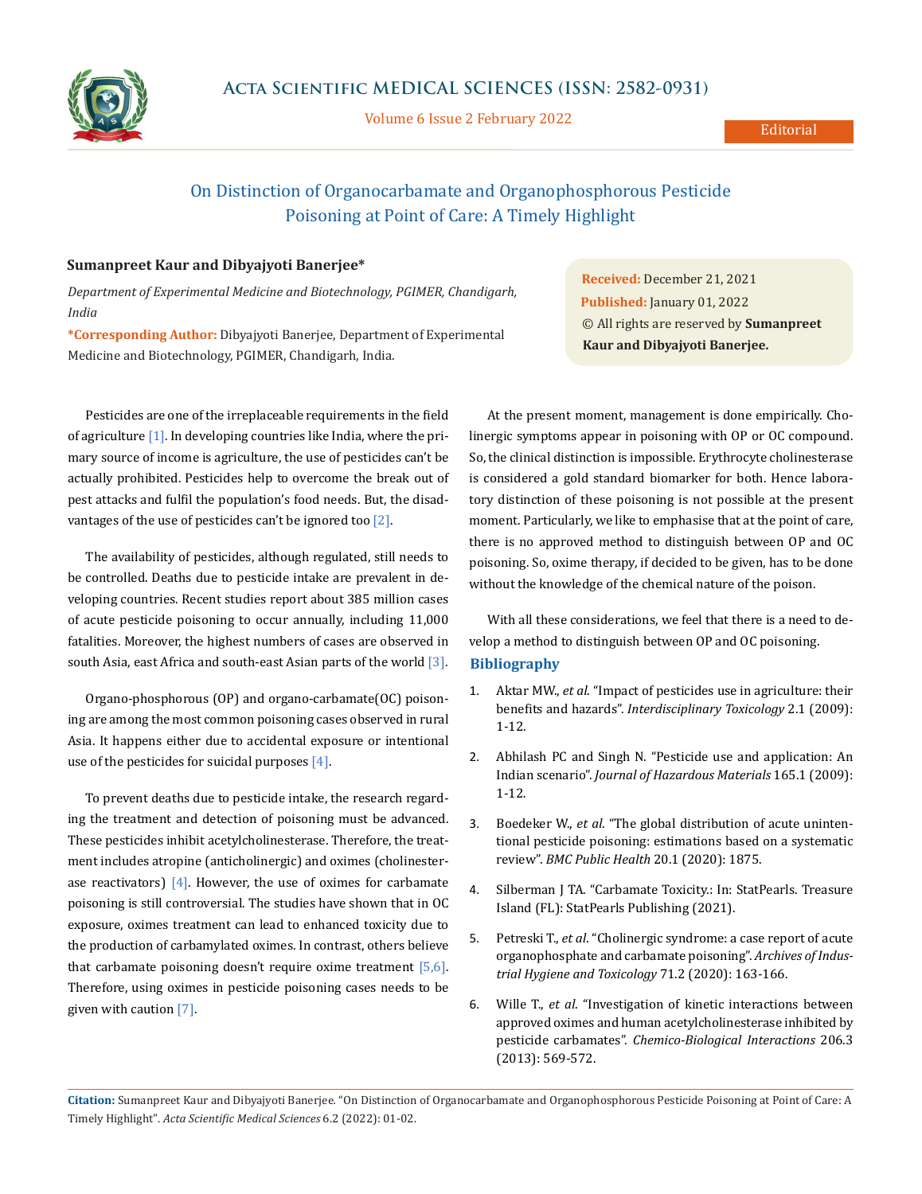

Volume 6 Issue 2 February 2022

Editorial

## On Distinction of Organocarbamate and Organophosphorous Pesticide Poisoning at Point of Care: A Timely Highlight

## **Sumanpreet Kaur and Dibyajyoti Banerjee\***

*Department of Experimental Medicine and Biotechnology, PGIMER, Chandigarh, India*

**\*Corresponding Author:** Dibyajyoti Banerjee, Department of Experimental Medicine and Biotechnology, PGIMER, Chandigarh, India.

Pesticides are one of the irreplaceable requirements in the field of agriculture [1]. In developing countries like India, where the primary source of income is agriculture, the use of pesticides can't be actually prohibited. Pesticides help to overcome the break out of pest attacks and fulfil the population's food needs. But, the disadvantages of the use of pesticides can't be ignored too [2].

The availability of pesticides, although regulated, still needs to be controlled. Deaths due to pesticide intake are prevalent in developing countries. Recent studies report about 385 million cases of acute pesticide poisoning to occur annually, including 11,000 fatalities. Moreover, the highest numbers of cases are observed in south Asia, east Africa and south-east Asian parts of the world [3].

Organo-phosphorous (OP) and organo-carbamate(OC) poisoning are among the most common poisoning cases observed in rural Asia. It happens either due to accidental exposure or intentional use of the pesticides for suicidal purposes [4].

To prevent deaths due to pesticide intake, the research regarding the treatment and detection of poisoning must be advanced. These pesticides inhibit acetylcholinesterase. Therefore, the treatment includes atropine (anticholinergic) and oximes (cholinesterase reactivators)  $[4]$ . However, the use of oximes for carbamate poisoning is still controversial. The studies have shown that in OC exposure, oximes treatment can lead to enhanced toxicity due to the production of carbamylated oximes. In contrast, others believe that carbamate poisoning doesn't require oxime treatment  $[5,6]$ . Therefore, using oximes in pesticide poisoning cases needs to be given with caution [7].

**Received:** December 21, 2021 **Published:** January 01, 2022 © All rights are reserved by **Sumanpreet Kaur and Dibyajyoti Banerjee.**

At the present moment, management is done empirically. Cholinergic symptoms appear in poisoning with OP or OC compound. So, the clinical distinction is impossible. Erythrocyte cholinesterase is considered a gold standard biomarker for both. Hence laboratory distinction of these poisoning is not possible at the present moment. Particularly, we like to emphasise that at the point of care, there is no approved method to distinguish between OP and OC poisoning. So, oxime therapy, if decided to be given, has to be done without the knowledge of the chemical nature of the poison.

With all these considerations, we feel that there is a need to develop a method to distinguish between OP and OC poisoning.

## **Bibliography**

- 1. Aktar MW., *et al*[. "Impact of pesticides use in agriculture: their](https://www.ncbi.nlm.nih.gov/pmc/articles/PMC2984095/)  benefits and hazards". *[Interdisciplinary Toxicology](https://www.ncbi.nlm.nih.gov/pmc/articles/PMC2984095/)* 2.1 (2009): [1-12.](https://www.ncbi.nlm.nih.gov/pmc/articles/PMC2984095/)
- 2. [Abhilash PC and Singh N. "Pesticide use and application: An](https://pubmed.ncbi.nlm.nih.gov/19081675/)  Indian scenario". *[Journal of Hazardous Materials](https://pubmed.ncbi.nlm.nih.gov/19081675/)* 165.1 (2009): [1-12.](https://pubmed.ncbi.nlm.nih.gov/19081675/)
- 3. Boedeker W., *et al*[. "The global distribution of acute uninten](https://bmcpublichealth.biomedcentral.com/articles/10.1186/s12889-020-09939-0)[tional pesticide poisoning: estimations based on a systematic](https://bmcpublichealth.biomedcentral.com/articles/10.1186/s12889-020-09939-0)  review". *[BMC Public Health](https://bmcpublichealth.biomedcentral.com/articles/10.1186/s12889-020-09939-0)* 20.1 (2020): 1875.
- 4. Silberman J TA. "Carbamate Toxicity.: In: StatPearls. Treasure Island (FL): StatPearls Publishing (2021).
- 5. Petreski T., *et al*[. "Cholinergic syndrome: a case report of acute](https://www.ncbi.nlm.nih.gov/pmc/articles/PMC7968493/)  [organophosphate and carbamate poisoning".](https://www.ncbi.nlm.nih.gov/pmc/articles/PMC7968493/) *Archives of Indus[trial Hygiene and Toxicology](https://www.ncbi.nlm.nih.gov/pmc/articles/PMC7968493/)* 71.2 (2020): 163-166.
- 6. Wille T., *et al*[. "Investigation of kinetic interactions between](https://pubmed.ncbi.nlm.nih.gov/23962483/)  [approved oximes and human acetylcholinesterase inhibited by](https://pubmed.ncbi.nlm.nih.gov/23962483/)  pesticide carbamates". *[Chemico-Biological Interactions](https://pubmed.ncbi.nlm.nih.gov/23962483/)* 206.3 [\(2013\): 569-572.](https://pubmed.ncbi.nlm.nih.gov/23962483/)

**Citation:** Sumanpreet Kaur and Dibyajyoti Banerjee*.* "On Distinction of Organocarbamate and Organophosphorous Pesticide Poisoning at Point of Care: A Timely Highlight". *Acta Scientific Medical Sciences* 6.2 (2022): 01-02.